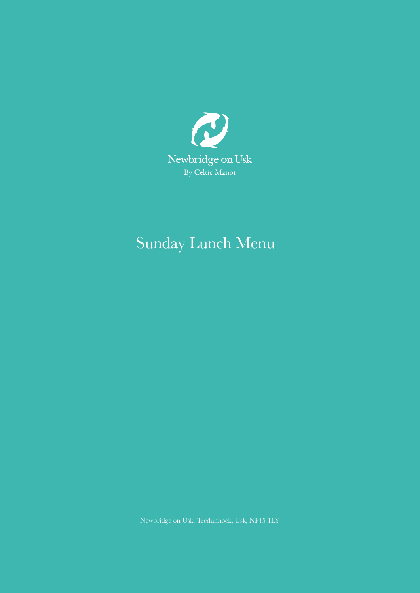

# Sunday Lunch Menu

Newbridge on Usk, Tredunnock, Usk, NP15 1LY